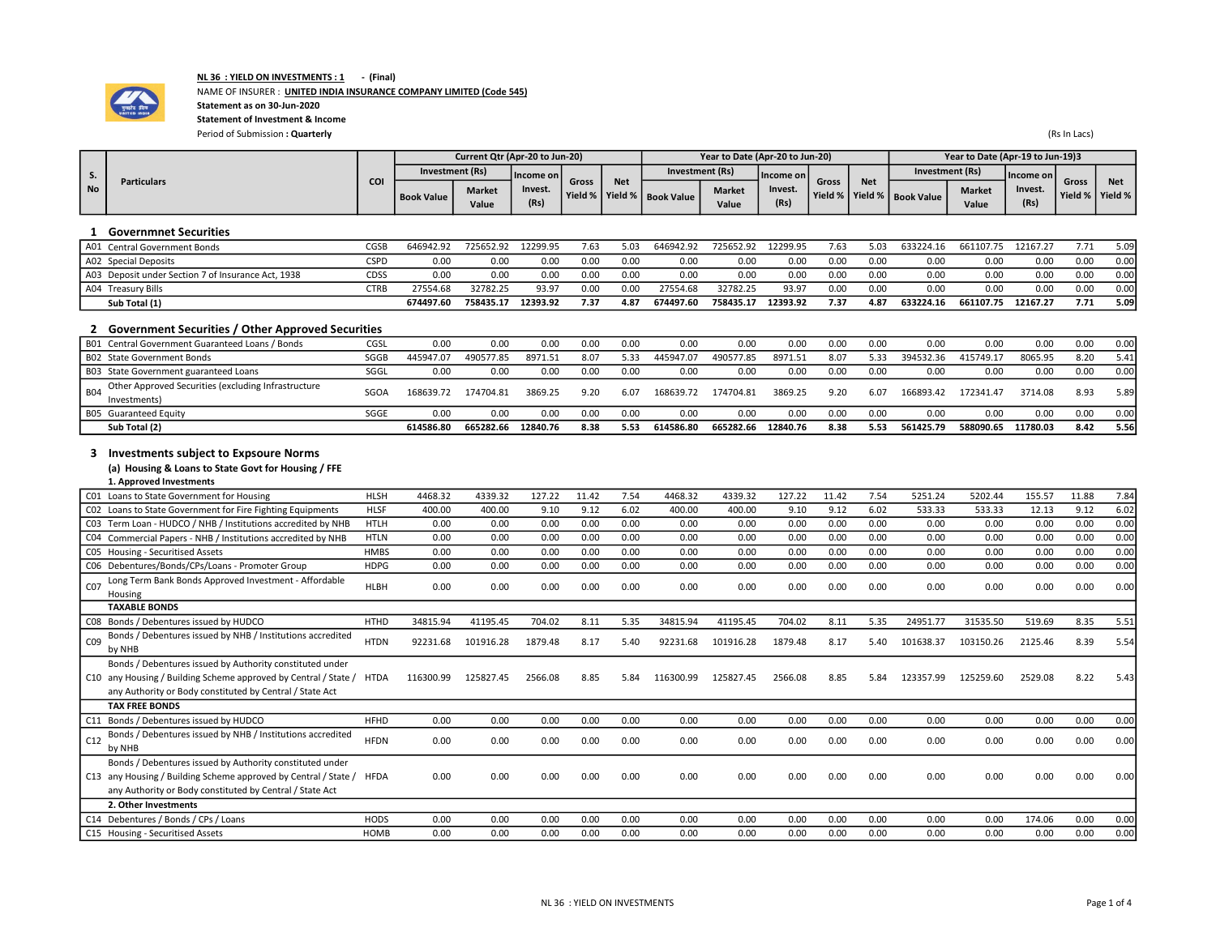

## NL 36 : YIELD ON INVESTMENTS : 1 - (Final)

# NAME OF INSURER : UNITED INDIA INSURANCE COMPANY LIMITED (Code 545)

Statement as on 30-Jun-2020

Statement of Investment & Income Period of Submission : Quarterly (Rs In Lacs)

|           |                    |     |                            | Current Qtr (Apr-20 to Jun-20) |               |       |            |                                | Year to Date (Apr-20 to Jun-20) |               |              |            |                                | Year to Date (Apr-19 to Jun-19)3 |               |                            |            |
|-----------|--------------------|-----|----------------------------|--------------------------------|---------------|-------|------------|--------------------------------|---------------------------------|---------------|--------------|------------|--------------------------------|----------------------------------|---------------|----------------------------|------------|
|           |                    |     |                            | Investment (Rs)                | l Income on l |       |            |                                | Investment (Rs)                 | l Income on L |              |            |                                | Investment (Rs)                  | l Income on L |                            |            |
| <b>No</b> | <b>Particulars</b> | CO. |                            | <b>Market</b>                  | Invest.       | Gross | <b>Net</b> | Yield %   Yield %   Book Value | <b>Market</b>                   | Invest.       | <b>Gross</b> | <b>Net</b> | Yield %   Yield %   Book Value | <b>Market</b>                    | Invest.       | Gross<br>Yield %   Yield % | <b>Net</b> |
|           |                    |     | <b>Book Value</b><br>Value |                                | (Rs)          |       |            |                                | Value                           | (Rs)          |              |            |                                | Value                            | (Rs)          |                            |            |

#### 1 Governmnet Securities

| A01 Central Government Bonds                       | CGSB | 646942.92 | 725652.92 | 12299.95 | 7.63 | 5.03 | 646942.92 | 725652.92 | 12299.95 | 7.63 | 5.03 | 633224.16 | 661107.75 | 12167.27 | 7.71 | 5.09 |
|----------------------------------------------------|------|-----------|-----------|----------|------|------|-----------|-----------|----------|------|------|-----------|-----------|----------|------|------|
| A02 Special Deposits                               | CSPD | 0.00      | 0.00      | 0.00     | 0.00 | 0.00 | 0.00      | 0.00      | 0.00     | 0.00 | 0.00 | 0.00      | 0.00      | 0.00     | 0.00 | 0.00 |
| A03 Deposit under Section 7 of Insurance Act, 1938 | CDSS | 0.00      | 0.00      | 0.00     | 0.00 | 0.00 | 0.00      | 0.00      | 0.00     | 0.00 | 0.00 | 0.00      | 0.00      | 0.00     | 0.00 | 0.00 |
| A04 Treasury Bills                                 | CTRB | 27554.68  | 32782.25  | 93.97    | 0.00 | 0.00 | 27554.68  | 32782.25  | 93.97    | 0.00 | 0.00 | 0.00      | 0.00      | 0.00     | 0.00 | 0.00 |
| Sub Total (1)                                      |      | 674497.60 | 758435.17 | 12393.92 | 7.37 | 4.87 | 674497.60 | 758435.17 | 12393.92 | 7.37 | 4.87 | 633224.16 | 661107.75 | 12167.27 | 7.71 | 5.09 |

### 2 Government Securities / Other Approved Securities

|            | .<br>B01 Central Government Guaranteed Loans / Bonds                | CGSL | 0.00      | 0.00      | 0.00     | 0.00 | 0.00 | 0.00      | 0.00      | 0.00     | 0.00 | 0.00 | 0.00      | 0.00      | 0.00     | 0.00 | 0.00 |
|------------|---------------------------------------------------------------------|------|-----------|-----------|----------|------|------|-----------|-----------|----------|------|------|-----------|-----------|----------|------|------|
|            | B02 State Government Bonds                                          | SGGB | 445947.07 | 490577.85 | 8971.51  | 8.07 | 5.33 | 445947.07 | 490577.85 | 8971.51  | 8.07 | 5.33 | 394532.36 | 415749.1  | 8065.95  | 8.20 | 5.41 |
|            | B03 State Government guaranteed Loans                               | SGGL | 0.00      | 0.00      | 0.00     | 0.00 | 0.00 | 0.00      | 0.00      | 0.00     | 0.00 | 0.00 | 0.00      | 0.00      | 0.00     | 0.00 | 0.00 |
| <b>B04</b> | Other Approved Securities (excluding Infrastructure<br>Investments) | SGOA | 168639.72 | 174704.81 | 3869.25  | 9.20 | 6.07 | 168639.72 | 174704.81 | 3869.25  | 9.20 | 6.07 | 166893.42 | 172341.47 | 3714.08  | 8.93 | 5.89 |
|            | B05 Guaranteed Equity                                               | SGGE | 0.00      | 0.00      | 0.00     | 0.00 | 0.00 | 0.00      | 0.00      | 0.00     | 0.00 | 0.00 | 0.00      | 0.00      | 0.00     | 0.00 | 0.00 |
|            | Sub Total (2)                                                       |      | 614586.80 | 665282.66 | 12840.76 | 8.38 | 5.53 | 614586.80 | 665282.66 | 12840.76 | 8.38 | 5.53 | 561425.79 | 588090.65 | 11780.03 | 8.42 | 5.56 |

#### 3 Investments subject to Expsoure Norms

### (a) Housing & Loans to State Govt for Housing / FFE

| 1. Approved Investments                                                                                                                                                                 |             |           |           |         |       |      |           |           |         |       |      |           |           |         |       |      |
|-----------------------------------------------------------------------------------------------------------------------------------------------------------------------------------------|-------------|-----------|-----------|---------|-------|------|-----------|-----------|---------|-------|------|-----------|-----------|---------|-------|------|
| C01 Loans to State Government for Housing                                                                                                                                               | <b>HLSH</b> | 4468.32   | 4339.32   | 127.22  | 11.42 | 7.54 | 4468.32   | 4339.32   | 127.22  | 11.42 | 7.54 | 5251.24   | 5202.44   | 155.57  | 11.88 | 7.84 |
| CO2 Loans to State Government for Fire Fighting Equipments                                                                                                                              | <b>HLSF</b> | 400.00    | 400.00    | 9.10    | 9.12  | 6.02 | 400.00    | 400.00    | 9.10    | 9.12  | 6.02 | 533.33    | 533.33    | 12.13   | 9.12  | 6.02 |
| C03 Term Loan - HUDCO / NHB / Institutions accredited by NHB                                                                                                                            | <b>HTLH</b> | 0.00      | 0.00      | 0.00    | 0.00  | 0.00 | 0.00      | 0.00      | 0.00    | 0.00  | 0.00 | 0.00      | 0.00      | 0.00    | 0.00  | 0.00 |
| C04 Commercial Papers - NHB / Institutions accredited by NHB                                                                                                                            | <b>HTLN</b> | 0.00      | 0.00      | 0.00    | 0.00  | 0.00 | 0.00      | 0.00      | 0.00    | 0.00  | 0.00 | 0.00      | 0.00      | 0.00    | 0.00  | 0.00 |
| C05 Housing - Securitised Assets                                                                                                                                                        | <b>HMBS</b> | 0.00      | 0.00      | 0.00    | 0.00  | 0.00 | 0.00      | 0.00      | 0.00    | 0.00  | 0.00 | 0.00      | 0.00      | 0.00    | 0.00  | 0.00 |
| C06 Debentures/Bonds/CPs/Loans - Promoter Group                                                                                                                                         | <b>HDPG</b> | 0.00      | 0.00      | 0.00    | 0.00  | 0.00 | 0.00      | 0.00      | 0.00    | 0.00  | 0.00 | 0.00      | 0.00      | 0.00    | 0.00  | 0.00 |
| Long Term Bank Bonds Approved Investment - Affordable<br>CO <sub>7</sub><br>Housing                                                                                                     | <b>HLBH</b> | 0.00      | 0.00      | 0.00    | 0.00  | 0.00 | 0.00      | 0.00      | 0.00    | 0.00  | 0.00 | 0.00      | 0.00      | 0.00    | 0.00  | 0.00 |
| <b>TAXABLE BONDS</b>                                                                                                                                                                    |             |           |           |         |       |      |           |           |         |       |      |           |           |         |       |      |
| CO8 Bonds / Debentures issued by HUDCO                                                                                                                                                  | <b>HTHD</b> | 34815.94  | 41195.45  | 704.02  | 8.11  | 5.35 | 34815.94  | 41195.45  | 704.02  | 8.11  | 5.35 | 24951.77  | 31535.50  | 519.69  | 8.35  | 5.51 |
| Bonds / Debentures issued by NHB / Institutions accredited<br>C <sub>09</sub><br>by NHB                                                                                                 | <b>HTDN</b> | 92231.68  | 101916.28 | 1879.48 | 8.17  | 5.40 | 92231.68  | 101916.28 | 1879.48 | 8.17  | 5.40 | 101638.37 | 103150.26 | 2125.46 | 8.39  | 5.54 |
| Bonds / Debentures issued by Authority constituted under<br>C10 any Housing / Building Scheme approved by Central / State /<br>any Authority or Body constituted by Central / State Act | HTDA        | 116300.99 | 125827.45 | 2566.08 | 8.85  | 5.84 | 116300.99 | 125827.45 | 2566.08 | 8.85  | 5.84 | 123357.99 | 125259.60 | 2529.08 | 8.22  | 5.43 |
| <b>TAX FREE BONDS</b>                                                                                                                                                                   |             |           |           |         |       |      |           |           |         |       |      |           |           |         |       |      |
| C11 Bonds / Debentures issued by HUDCO                                                                                                                                                  | <b>HFHD</b> | 0.00      | 0.00      | 0.00    | 0.00  | 0.00 | 0.00      | 0.00      | 0.00    | 0.00  | 0.00 | 0.00      | 0.00      | 0.00    | 0.00  | 0.00 |
| Bonds / Debentures issued by NHB / Institutions accredited<br>C12<br>by NHB                                                                                                             | <b>HFDN</b> | 0.00      | 0.00      | 0.00    | 0.00  | 0.00 | 0.00      | 0.00      | 0.00    | 0.00  | 0.00 | 0.00      | 0.00      | 0.00    | 0.00  | 0.00 |
| Bonds / Debentures issued by Authority constituted under<br>C13 any Housing / Building Scheme approved by Central / State /<br>any Authority or Body constituted by Central / State Act | <b>HFDA</b> | 0.00      | 0.00      | 0.00    | 0.00  | 0.00 | 0.00      | 0.00      | 0.00    | 0.00  | 0.00 | 0.00      | 0.00      | 0.00    | 0.00  | 0.00 |
| 2. Other Investments                                                                                                                                                                    |             |           |           |         |       |      |           |           |         |       |      |           |           |         |       |      |
| C14 Debentures / Bonds / CPs / Loans                                                                                                                                                    | <b>HODS</b> | 0.00      | 0.00      | 0.00    | 0.00  | 0.00 | 0.00      | 0.00      | 0.00    | 0.00  | 0.00 | 0.00      | 0.00      | 174.06  | 0.00  | 0.00 |
| C15 Housing - Securitised Assets                                                                                                                                                        | <b>HOMB</b> | 0.00      | 0.00      | 0.00    | 0.00  | 0.00 | 0.00      | 0.00      | 0.00    | 0.00  | 0.00 | 0.00      | 0.00      | 0.00    | 0.00  | 0.00 |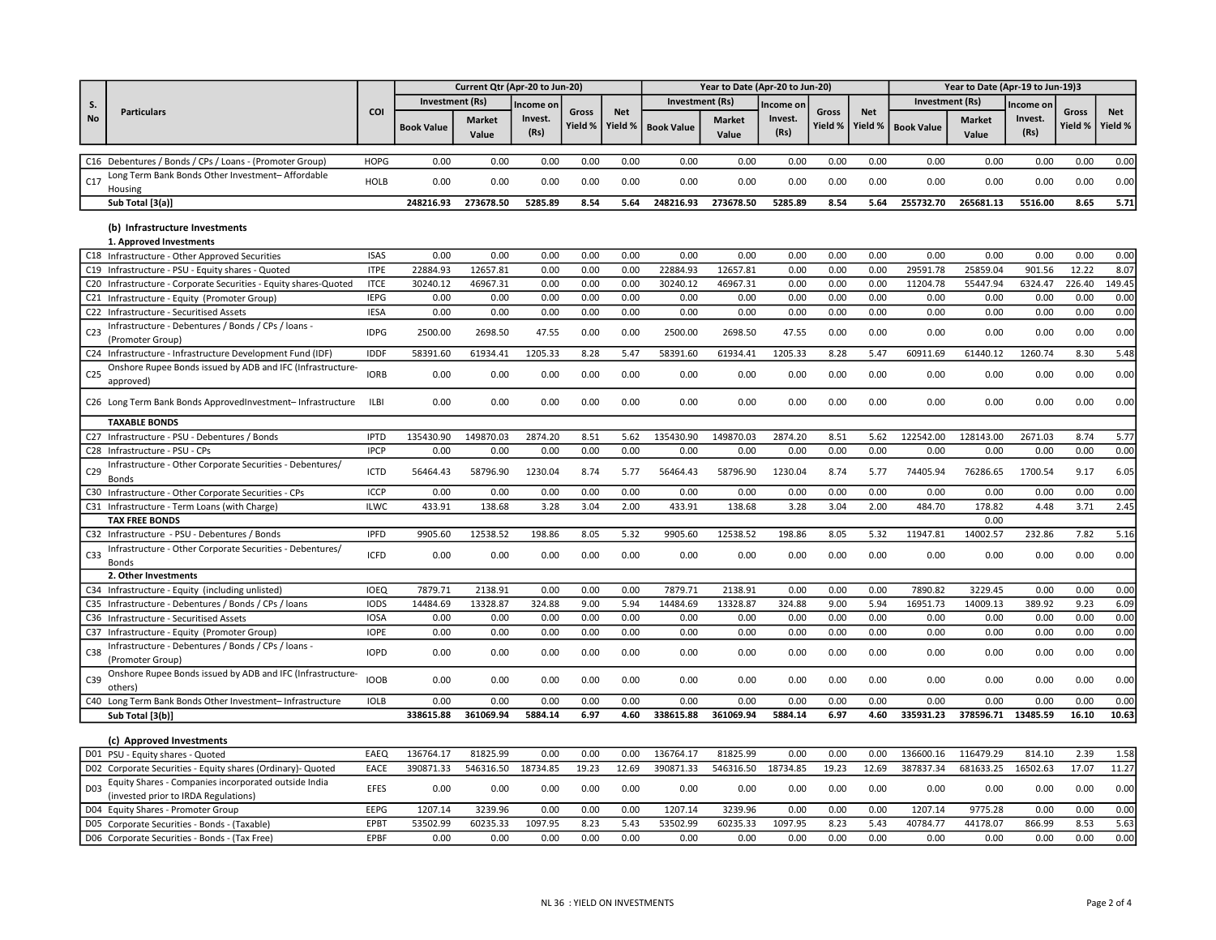|                 |                                                                                              |             | Current Qtr (Apr-20 to Jun-20) |                        |                 |                  |                         | Year to Date (Apr-20 to Jun-20) |                        |                 |                  |                       | Year to Date (Apr-19 to Jun-19)3 |                        |                 |                  |                       |  |
|-----------------|----------------------------------------------------------------------------------------------|-------------|--------------------------------|------------------------|-----------------|------------------|-------------------------|---------------------------------|------------------------|-----------------|------------------|-----------------------|----------------------------------|------------------------|-----------------|------------------|-----------------------|--|
| S.              |                                                                                              |             | Investment (Rs)                |                        | ncome or        |                  |                         | <b>Investment</b> (Rs)          |                        | ncome on        |                  |                       | <b>Investment (Rs)</b>           |                        | Income on       |                  |                       |  |
| <b>No</b>       | <b>Particulars</b>                                                                           | COI         | <b>Book Value</b>              | <b>Market</b><br>Value | Invest.<br>(Rs) | Gross<br>Yield % | <b>Net</b><br>Yield $%$ | <b>Book Value</b>               | <b>Market</b><br>Value | Invest.<br>(Rs) | Gross<br>Yield % | <b>Net</b><br>Yield % | <b>Book Value</b>                | <b>Market</b><br>Value | Invest.<br>(Rs) | Gross<br>Yield % | <b>Net</b><br>Yield % |  |
|                 | C16 Debentures / Bonds / CPs / Loans - (Promoter Group)                                      | <b>HOPG</b> | 0.00                           | 0.00                   | 0.00            | 0.00             | 0.00                    | 0.00                            | 0.00                   | 0.00            | 0.00             | 0.00                  | 0.00                             | 0.00                   | 0.00            | 0.00             | 0.00                  |  |
| C17             | Long Term Bank Bonds Other Investment- Affordable                                            | <b>HOLB</b> | 0.00                           | 0.00                   | 0.00            | 0.00             | 0.00                    | 0.00                            | 0.00                   | 0.00            | 0.00             | 0.00                  | 0.00                             | 0.00                   | 0.00            | 0.00             | 0.00                  |  |
|                 | Housing<br>Sub Total [3(a)]                                                                  |             | 248216.93                      | 273678.50              | 5285.89         | 8.54             | 5.64                    | 248216.93                       | 273678.50              | 5285.89         | 8.54             | 5.64                  | 255732.70                        | 265681.13              | 5516.00         | 8.65             | 5.71                  |  |
|                 |                                                                                              |             |                                |                        |                 |                  |                         |                                 |                        |                 |                  |                       |                                  |                        |                 |                  |                       |  |
|                 | (b) Infrastructure Investments<br>1. Approved Investments                                    |             |                                |                        |                 |                  |                         |                                 |                        |                 |                  |                       |                                  |                        |                 |                  |                       |  |
|                 | C18 Infrastructure - Other Approved Securities                                               | <b>ISAS</b> | 0.00                           | 0.00                   | 0.00            | 0.00             | 0.00                    | 0.00                            | 0.00                   | 0.00            | 0.00             | 0.00                  | 0.00                             | 0.00                   | 0.00            | 0.00             | 0.00                  |  |
|                 | C19 Infrastructure - PSU - Equity shares - Quoted                                            | <b>ITPE</b> | 22884.93                       | 12657.81               | 0.00            | 0.00             | 0.00                    | 22884.93                        | 12657.81               | 0.00            | 0.00             | 0.00                  | 29591.78                         | 25859.04               | 901.56          | 12.22            | 8.07                  |  |
|                 | C20 Infrastructure - Corporate Securities - Equity shares-Quoted                             | <b>ITCE</b> | 30240.12                       | 46967.31               | 0.00            | 0.00             | 0.00                    | 30240.12                        | 46967.31               | 0.00            | 0.00             | 0.00                  | 11204.78                         | 55447.94               | 6324.47         | 226.40           | 149.45                |  |
|                 | C21 Infrastructure - Equity (Promoter Group)                                                 | <b>IEPG</b> | 0.00                           | 0.00                   | 0.00            | 0.00             | 0.00                    | 0.00                            | 0.00                   | 0.00            | 0.00             | 0.00                  | 0.00                             | 0.00                   | 0.00            | 0.00             | 0.00                  |  |
|                 | C22 Infrastructure - Securitised Assets                                                      | <b>IESA</b> | 0.00                           | 0.00                   | 0.00            | 0.00             | 0.00                    | 0.00                            | 0.00                   | 0.00            | 0.00             | 0.00                  | 0.00                             | 0.00                   | 0.00            | 0.00             | 0.00                  |  |
| C <sub>23</sub> | Infrastructure - Debentures / Bonds / CPs / Ioans -<br>(Promoter Group)                      | <b>IDPG</b> | 2500.00                        | 2698.50                | 47.55           | 0.00             | 0.00                    | 2500.00                         | 2698.50                | 47.55           | 0.00             | 0.00                  | 0.00                             | 0.00                   | 0.00            | 0.00             | 0.00                  |  |
|                 | C24 Infrastructure - Infrastructure Development Fund (IDF)                                   | <b>IDDF</b> | 58391.60                       | 61934.41               | 1205.33         | 8.28             | 5.47                    | 58391.60                        | 61934.41               | 1205.33         | 8.28             | 5.47                  | 60911.69                         | 61440.12               | 1260.74         | 8.30             | 5.48                  |  |
| C <sub>25</sub> | Onshore Rupee Bonds issued by ADB and IFC (Infrastructure-<br>approved)                      | <b>IORB</b> | 0.00                           | 0.00                   | 0.00            | 0.00             | 0.00                    | 0.00                            | 0.00                   | 0.00            | 0.00             | 0.00                  | 0.00                             | 0.00                   | 0.00            | 0.00             | 0.00                  |  |
|                 | C26 Long Term Bank Bonds ApprovedInvestment-Infrastructure                                   | ILBI        | 0.00                           | 0.00                   | 0.00            | 0.00             | 0.00                    | 0.00                            | 0.00                   | 0.00            | 0.00             | 0.00                  | 0.00                             | 0.00                   | 0.00            | 0.00             | 0.00                  |  |
|                 | <b>TAXABLE BONDS</b>                                                                         |             |                                |                        |                 |                  |                         |                                 |                        |                 |                  |                       |                                  |                        |                 |                  |                       |  |
|                 | C27 Infrastructure - PSU - Debentures / Bonds                                                | <b>IPTD</b> | 135430.90                      | 149870.03              | 2874.20         | 8.51             | 5.62                    | 135430.90                       | 149870.03              | 2874.20         | 8.51             | 5.62                  | 122542.00                        | 128143.00              | 2671.03         | 8.74             | 5.77                  |  |
|                 | C28 Infrastructure - PSU - CPs                                                               | <b>IPCP</b> | 0.00                           | 0.00                   | 0.00            | 0.00             | 0.00                    | 0.00                            | 0.00                   | 0.00            | 0.00             | 0.00                  | 0.00                             | 0.00                   | 0.00            | 0.00             | 0.00                  |  |
| C29             | Infrastructure - Other Corporate Securities - Debentures/<br><b>Bonds</b>                    | ICTD        | 56464.43                       | 58796.90               | 1230.04         | 8.74             | 5.77                    | 56464.43                        | 58796.90               | 1230.04         | 8.74             | 5.77                  | 74405.94                         | 76286.65               | 1700.54         | 9.17             | 6.05                  |  |
|                 | C30 Infrastructure - Other Corporate Securities - CPs                                        | <b>ICCP</b> | 0.00                           | 0.00                   | 0.00            | 0.00             | 0.00                    | 0.00                            | 0.00                   | 0.00            | 0.00             | 0.00                  | 0.00                             | 0.00                   | 0.00            | 0.00             | 0.00                  |  |
|                 | C31 Infrastructure - Term Loans (with Charge)                                                | <b>ILWC</b> | 433.91                         | 138.68                 | 3.28            | 3.04             | 2.00                    | 433.91                          | 138.68                 | 3.28            | 3.04             | 2.00                  | 484.70                           | 178.82                 | 4.48            | 3.71             | 2.45                  |  |
|                 | <b>TAX FREE BONDS</b>                                                                        |             |                                |                        |                 |                  |                         |                                 |                        |                 |                  |                       |                                  | 0.00                   |                 |                  |                       |  |
|                 | C32 Infrastructure - PSU - Debentures / Bonds                                                | <b>IPFD</b> | 9905.60                        | 12538.52               | 198.86          | 8.05             | 5.32                    | 9905.60                         | 12538.52               | 198.86          | 8.05             | 5.32                  | 11947.81                         | 14002.57               | 232.86          | 7.82             | 5.16                  |  |
| C <sub>33</sub> | Infrastructure - Other Corporate Securities - Debentures/<br><b>Bonds</b>                    | <b>ICFD</b> | 0.00                           | 0.00                   | 0.00            | 0.00             | 0.00                    | 0.00                            | 0.00                   | 0.00            | 0.00             | 0.00                  | 0.00                             | 0.00                   | 0.00            | 0.00             | 0.00                  |  |
|                 | 2. Other Investments                                                                         |             |                                |                        |                 |                  |                         |                                 |                        |                 |                  |                       |                                  |                        |                 |                  |                       |  |
|                 | C34 Infrastructure - Equity (including unlisted)                                             | <b>IOEQ</b> | 7879.71                        | 2138.91                | 0.00            | 0.00             | 0.00                    | 7879.71                         | 2138.91                | 0.00            | 0.00             | 0.00                  | 7890.82                          | 3229.45                | 0.00            | 0.00             | 0.00                  |  |
|                 | C35 Infrastructure - Debentures / Bonds / CPs / Ioans                                        | <b>IODS</b> | 14484.69                       | 13328.87               | 324.88          | 9.00             | 5.94                    | 14484.69                        | 13328.87               | 324.88          | 9.00             | 5.94                  | 16951.73                         | 14009.13               | 389.92          | 9.23             | 6.09                  |  |
|                 | C36 Infrastructure - Securitised Assets                                                      | <b>IOSA</b> | 0.00                           | 0.00                   | 0.00            | 0.00             | 0.00                    | 0.00                            | 0.00                   | 0.00            | 0.00             | 0.00                  | 0.00                             | 0.00                   | 0.00            | 0.00             | 0.00                  |  |
|                 | C37 Infrastructure - Equity (Promoter Group)                                                 | <b>IOPE</b> | 0.00                           | 0.00                   | 0.00            | 0.00             | 0.00                    | 0.00                            | 0.00                   | 0.00            | 0.00             | 0.00                  | 0.00                             | 0.00                   | 0.00            | 0.00             | 0.00                  |  |
| C38             | Infrastructure - Debentures / Bonds / CPs / Ioans -<br>(Promoter Group)                      | <b>IOPD</b> | 0.00                           | 0.00                   | 0.00            | 0.00             | 0.00                    | 0.00                            | 0.00                   | 0.00            | 0.00             | 0.00                  | 0.00                             | 0.00                   | 0.00            | 0.00             | 0.00                  |  |
| C39             | Onshore Rupee Bonds issued by ADB and IFC (Infrastructure-<br>others)                        | <b>IOOB</b> | 0.00                           | 0.00                   | 0.00            | 0.00             | 0.00                    | 0.00                            | 0.00                   | 0.00            | 0.00             | 0.00                  | 0.00                             | 0.00                   | 0.00            | 0.00             | 0.00                  |  |
|                 | C40 Long Term Bank Bonds Other Investment-Infrastructure                                     | <b>IOLB</b> | 0.00                           | 0.00                   | 0.00            | 0.00             | 0.00                    | 0.00                            | 0.00                   | 0.00            | 0.00             | 0.00                  | 0.00                             | 0.00                   | 0.00            | 0.00             | 0.00                  |  |
|                 | Sub Total [3(b)]                                                                             |             | 338615.88                      | 361069.94              | 5884.14         | 6.97             | 4.60                    | 338615.88                       | 361069.94              | 5884.14         | 6.97             | 4.60                  | 335931.23                        | 378596.71              | 13485.59        | 16.10            | 10.63                 |  |
|                 | (c) Approved Investments                                                                     |             |                                |                        |                 |                  |                         |                                 |                        |                 |                  |                       |                                  |                        |                 |                  |                       |  |
|                 | D01 PSU - Equity shares - Quoted                                                             | EAEQ        | 136764.17                      | 81825.99               | 0.00            | 0.00             | 0.00                    | 136764.17                       | 81825.99               | 0.00            | 0.00             | 0.00                  | 136600.16                        | 116479.29              | 814.10          | 2.39             | 1.58                  |  |
|                 | D02 Corporate Securities - Equity shares (Ordinary)- Quoted                                  | EACE        | 390871.33                      | 546316.50              | 18734.85        | 19.23            | 12.69                   | 390871.33                       | 546316.50              | 18734.85        | 19.23            | 12.69                 | 387837.34                        | 681633.25              | 16502.63        | 17.07            | 11.27                 |  |
| D <sub>03</sub> | Equity Shares - Companies incorporated outside India<br>(invested prior to IRDA Regulations) | EFES        | 0.00                           | 0.00                   | 0.00            | 0.00             | 0.00                    | 0.00                            | 0.00                   | 0.00            | 0.00             | 0.00                  | 0.00                             | 0.00                   | 0.00            | 0.00             | 0.00                  |  |
|                 | D04 Equity Shares - Promoter Group                                                           | <b>EEPG</b> | 1207.14                        | 3239.96                | 0.00            | 0.00             | 0.00                    | 1207.14                         | 3239.96                | 0.00            | 0.00             | 0.00                  | 1207.14                          | 9775.28                | 0.00            | 0.00             | 0.00                  |  |
|                 | D05 Corporate Securities - Bonds - (Taxable)                                                 | EPBT        | 53502.99                       | 60235.33               | 1097.95         | 8.23             | 5.43                    | 53502.99                        | 60235.33               | 1097.95         | 8.23             | 5.43                  | 40784.77                         | 44178.07               | 866.99          | 8.53             | 5.63                  |  |
|                 | D06 Corporate Securities - Bonds - (Tax Free)                                                | EPBF        | 0.00                           | 0.00                   | 0.00            | 0.00             | 0.00                    | 0.00                            | 0.00                   | 0.00            | 0.00             | 0.00                  | 0.00                             | 0.00                   | 0.00            | 0.00             | 0.00                  |  |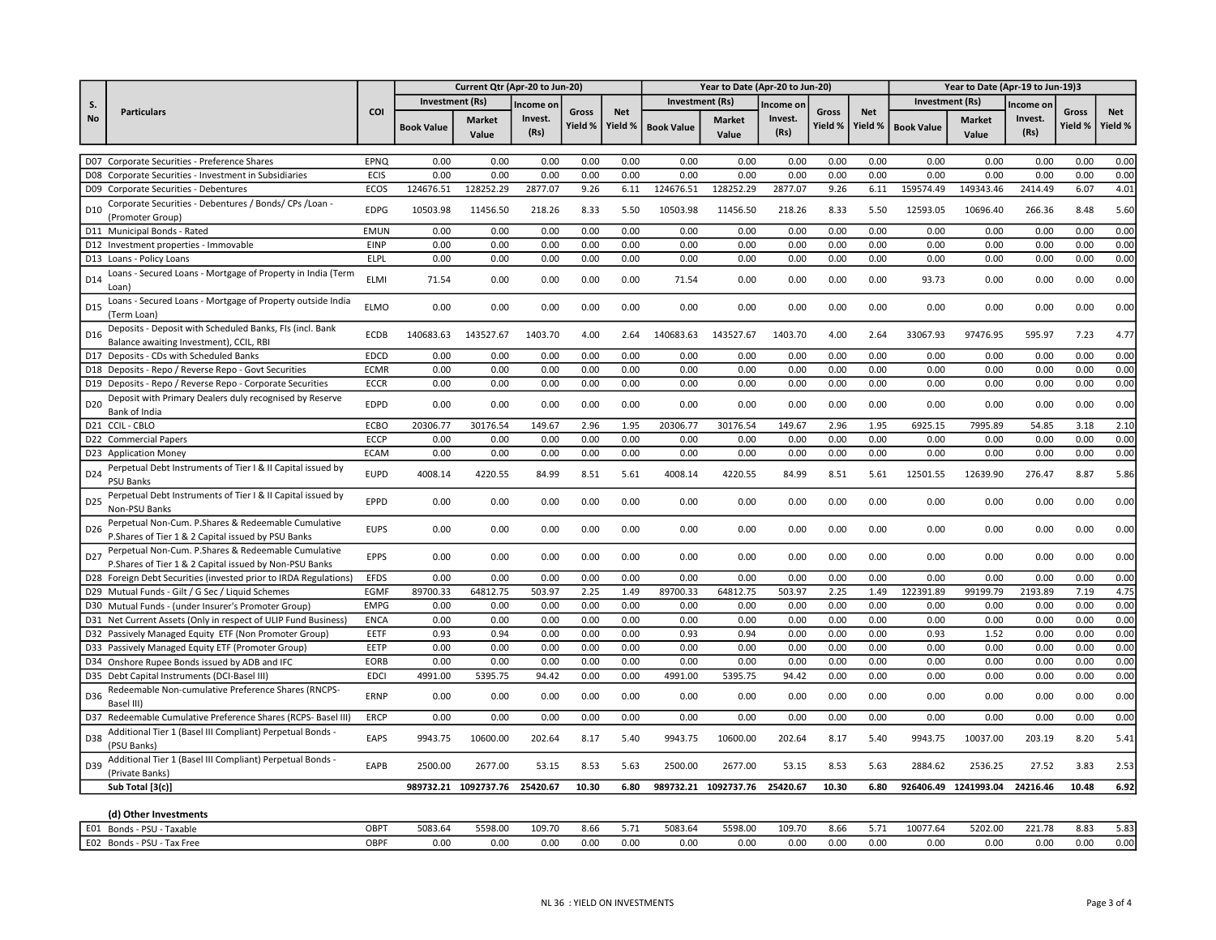| <b>Investment (Rs)</b><br><b>Investment (Rs)</b><br>Investment (Rs)<br>S.<br>Income on<br>Income on<br>Income on<br>COI<br><b>Particulars</b><br><b>Net</b><br><b>Net</b><br><b>Net</b><br>Gross<br>Gross<br>Gross<br><b>No</b><br>Invest.<br>Invest.<br>Invest.<br><b>Market</b><br><b>Market</b><br><b>Market</b><br>Yield %<br>Yield %<br>Yield %<br>Yield %<br>Yield %<br><b>Book Value</b><br><b>Book Value</b><br><b>Book Value</b><br>(Rs)<br>(Rs)<br>(Rs)<br>Value<br>Value<br>Value<br>0.00<br>0.00<br>0.00<br>0.00<br>0.00<br>0.00<br>0.00<br>0.00<br>0.00<br>0.00<br>0.00<br>0.00<br>D07 Corporate Securities - Preference Shares<br>EPNQ<br>0.00<br>0.00<br>0.00<br>0.00<br>0.00<br>0.00<br>0.00<br>0.00<br>ECIS<br>0.00<br>0.00<br>0.00<br>0.00<br>0.00<br>0.00<br>0.00<br>0.00<br>D08 Corporate Securities - Investment in Subsidiaries<br>2877.07<br>ECOS<br>124676.51<br>128252.29<br>2877.07<br>9.26<br>6.11<br>124676.51<br>128252.29<br>9.26<br>6.11<br>159574.49<br>149343.46<br>2414.49<br>6.07<br>D09 Corporate Securities - Debentures<br>Corporate Securities - Debentures / Bonds/ CPs / Loan -<br><b>EDPG</b><br>10503.98<br>11456.50<br>218.26<br>8.33<br>10503.98<br>11456.50<br>218.26<br>8.33<br>5.50<br>12593.05<br>10696.40<br>266.36<br>8.48<br>D <sub>10</sub><br>5.50<br>(Promoter Group)<br>D11 Municipal Bonds - Rated<br><b>EMUN</b><br>0.00<br>0.00<br>0.00<br>0.00<br>0.00<br>0.00<br>0.00<br>0.00<br>0.00<br>0.00<br>0.00<br>0.00<br>0.00<br>0.00<br>EINP<br>0.00<br>0.00<br>0.00<br>0.00<br>0.00<br>0.00<br>0.00<br>0.00<br>0.00<br>0.00<br>0.00<br>0.00<br>0.00<br>0.00<br>D12 Investment properties - Immovable<br>0.00<br>D13 Loans - Policy Loans<br><b>ELPL</b><br>0.00<br>0.00<br>0.00<br>0.00<br>0.00<br>0.00<br>0.00<br>0.00<br>0.00<br>0.00<br>0.00<br>0.00<br>0.00<br>Loans - Secured Loans - Mortgage of Property in India (Term<br><b>ELMI</b><br>71.54<br>0.00<br>0.00<br>0.00<br>0.00<br>71.54<br>0.00<br>0.00<br>0.00<br>0.00<br>93.73<br>0.00<br>0.00<br>0.00<br>D14<br>Loan)<br>Loans - Secured Loans - Mortgage of Property outside India<br>D <sub>15</sub><br><b>ELMO</b><br>0.00<br>0.00<br>0.00<br>0.00<br>0.00<br>0.00<br>0.00<br>0.00<br>0.00<br>0.00<br>0.00<br>0.00<br>0.00<br>0.00<br>(Term Loan)<br>Deposits - Deposit with Scheduled Banks, FIs (incl. Bank<br>595.97<br><b>ECDB</b><br>140683.63<br>143527.67<br>1403.70<br>4.00<br>140683.63<br>143527.67<br>1403.70<br>4.00<br>2.64<br>33067.93<br>97476.95<br>7.23<br>D <sub>16</sub><br>2.64<br>Balance awaiting Investment), CCIL, RBI<br>D17 Deposits - CDs with Scheduled Banks<br><b>EDCD</b><br>0.00<br>0.00<br>0.00<br>0.00<br>0.00<br>0.00<br>0.00<br>0.00<br>0.00<br>0.00<br>0.00<br>0.00<br>0.00<br>0.00<br>D18 Deposits - Repo / Reverse Repo - Govt Securities |  |             |      | Current Qtr (Apr-20 to Jun-20) |      |      |      |      | Year to Date (Apr-20 to Jun-20) |      |      |      |      | Year to Date (Apr-19 to Jun-19)3 |      |      |              |
|-------------------------------------------------------------------------------------------------------------------------------------------------------------------------------------------------------------------------------------------------------------------------------------------------------------------------------------------------------------------------------------------------------------------------------------------------------------------------------------------------------------------------------------------------------------------------------------------------------------------------------------------------------------------------------------------------------------------------------------------------------------------------------------------------------------------------------------------------------------------------------------------------------------------------------------------------------------------------------------------------------------------------------------------------------------------------------------------------------------------------------------------------------------------------------------------------------------------------------------------------------------------------------------------------------------------------------------------------------------------------------------------------------------------------------------------------------------------------------------------------------------------------------------------------------------------------------------------------------------------------------------------------------------------------------------------------------------------------------------------------------------------------------------------------------------------------------------------------------------------------------------------------------------------------------------------------------------------------------------------------------------------------------------------------------------------------------------------------------------------------------------------------------------------------------------------------------------------------------------------------------------------------------------------------------------------------------------------------------------------------------------------------------------------------------------------------------------------------------------------------------------------------------------------------------------------------------------------------------------------------------------------------------------------------------------------------------------------------------------------------------------------------------------------------------|--|-------------|------|--------------------------------|------|------|------|------|---------------------------------|------|------|------|------|----------------------------------|------|------|--------------|
|                                                                                                                                                                                                                                                                                                                                                                                                                                                                                                                                                                                                                                                                                                                                                                                                                                                                                                                                                                                                                                                                                                                                                                                                                                                                                                                                                                                                                                                                                                                                                                                                                                                                                                                                                                                                                                                                                                                                                                                                                                                                                                                                                                                                                                                                                                                                                                                                                                                                                                                                                                                                                                                                                                                                                                                                       |  |             |      |                                |      |      |      |      |                                 |      |      |      |      |                                  |      |      |              |
|                                                                                                                                                                                                                                                                                                                                                                                                                                                                                                                                                                                                                                                                                                                                                                                                                                                                                                                                                                                                                                                                                                                                                                                                                                                                                                                                                                                                                                                                                                                                                                                                                                                                                                                                                                                                                                                                                                                                                                                                                                                                                                                                                                                                                                                                                                                                                                                                                                                                                                                                                                                                                                                                                                                                                                                                       |  |             |      |                                |      |      |      |      |                                 |      |      |      |      |                                  |      |      | Yield %      |
|                                                                                                                                                                                                                                                                                                                                                                                                                                                                                                                                                                                                                                                                                                                                                                                                                                                                                                                                                                                                                                                                                                                                                                                                                                                                                                                                                                                                                                                                                                                                                                                                                                                                                                                                                                                                                                                                                                                                                                                                                                                                                                                                                                                                                                                                                                                                                                                                                                                                                                                                                                                                                                                                                                                                                                                                       |  |             |      |                                |      |      |      |      |                                 |      |      |      |      |                                  |      |      | 0.00         |
|                                                                                                                                                                                                                                                                                                                                                                                                                                                                                                                                                                                                                                                                                                                                                                                                                                                                                                                                                                                                                                                                                                                                                                                                                                                                                                                                                                                                                                                                                                                                                                                                                                                                                                                                                                                                                                                                                                                                                                                                                                                                                                                                                                                                                                                                                                                                                                                                                                                                                                                                                                                                                                                                                                                                                                                                       |  |             |      |                                |      |      |      |      |                                 |      |      |      |      |                                  |      |      | 0.00         |
|                                                                                                                                                                                                                                                                                                                                                                                                                                                                                                                                                                                                                                                                                                                                                                                                                                                                                                                                                                                                                                                                                                                                                                                                                                                                                                                                                                                                                                                                                                                                                                                                                                                                                                                                                                                                                                                                                                                                                                                                                                                                                                                                                                                                                                                                                                                                                                                                                                                                                                                                                                                                                                                                                                                                                                                                       |  |             |      |                                |      |      |      |      |                                 |      |      |      |      |                                  |      |      | 4.01         |
|                                                                                                                                                                                                                                                                                                                                                                                                                                                                                                                                                                                                                                                                                                                                                                                                                                                                                                                                                                                                                                                                                                                                                                                                                                                                                                                                                                                                                                                                                                                                                                                                                                                                                                                                                                                                                                                                                                                                                                                                                                                                                                                                                                                                                                                                                                                                                                                                                                                                                                                                                                                                                                                                                                                                                                                                       |  |             |      |                                |      |      |      |      |                                 |      |      |      |      |                                  |      |      | 5.60         |
|                                                                                                                                                                                                                                                                                                                                                                                                                                                                                                                                                                                                                                                                                                                                                                                                                                                                                                                                                                                                                                                                                                                                                                                                                                                                                                                                                                                                                                                                                                                                                                                                                                                                                                                                                                                                                                                                                                                                                                                                                                                                                                                                                                                                                                                                                                                                                                                                                                                                                                                                                                                                                                                                                                                                                                                                       |  |             |      |                                |      |      |      |      |                                 |      |      |      |      |                                  |      |      | 0.00         |
|                                                                                                                                                                                                                                                                                                                                                                                                                                                                                                                                                                                                                                                                                                                                                                                                                                                                                                                                                                                                                                                                                                                                                                                                                                                                                                                                                                                                                                                                                                                                                                                                                                                                                                                                                                                                                                                                                                                                                                                                                                                                                                                                                                                                                                                                                                                                                                                                                                                                                                                                                                                                                                                                                                                                                                                                       |  |             |      |                                |      |      |      |      |                                 |      |      |      |      |                                  |      |      | 0.00         |
|                                                                                                                                                                                                                                                                                                                                                                                                                                                                                                                                                                                                                                                                                                                                                                                                                                                                                                                                                                                                                                                                                                                                                                                                                                                                                                                                                                                                                                                                                                                                                                                                                                                                                                                                                                                                                                                                                                                                                                                                                                                                                                                                                                                                                                                                                                                                                                                                                                                                                                                                                                                                                                                                                                                                                                                                       |  |             |      |                                |      |      |      |      |                                 |      |      |      |      |                                  |      |      | 0.00         |
|                                                                                                                                                                                                                                                                                                                                                                                                                                                                                                                                                                                                                                                                                                                                                                                                                                                                                                                                                                                                                                                                                                                                                                                                                                                                                                                                                                                                                                                                                                                                                                                                                                                                                                                                                                                                                                                                                                                                                                                                                                                                                                                                                                                                                                                                                                                                                                                                                                                                                                                                                                                                                                                                                                                                                                                                       |  |             |      |                                |      |      |      |      |                                 |      |      |      |      |                                  |      |      | 0.00         |
|                                                                                                                                                                                                                                                                                                                                                                                                                                                                                                                                                                                                                                                                                                                                                                                                                                                                                                                                                                                                                                                                                                                                                                                                                                                                                                                                                                                                                                                                                                                                                                                                                                                                                                                                                                                                                                                                                                                                                                                                                                                                                                                                                                                                                                                                                                                                                                                                                                                                                                                                                                                                                                                                                                                                                                                                       |  |             |      |                                |      |      |      |      |                                 |      |      |      |      |                                  |      |      | 0.00         |
|                                                                                                                                                                                                                                                                                                                                                                                                                                                                                                                                                                                                                                                                                                                                                                                                                                                                                                                                                                                                                                                                                                                                                                                                                                                                                                                                                                                                                                                                                                                                                                                                                                                                                                                                                                                                                                                                                                                                                                                                                                                                                                                                                                                                                                                                                                                                                                                                                                                                                                                                                                                                                                                                                                                                                                                                       |  |             |      |                                |      |      |      |      |                                 |      |      |      |      |                                  |      |      | 4.77         |
|                                                                                                                                                                                                                                                                                                                                                                                                                                                                                                                                                                                                                                                                                                                                                                                                                                                                                                                                                                                                                                                                                                                                                                                                                                                                                                                                                                                                                                                                                                                                                                                                                                                                                                                                                                                                                                                                                                                                                                                                                                                                                                                                                                                                                                                                                                                                                                                                                                                                                                                                                                                                                                                                                                                                                                                                       |  |             |      |                                |      |      |      |      |                                 |      |      |      |      |                                  |      |      | 0.00         |
|                                                                                                                                                                                                                                                                                                                                                                                                                                                                                                                                                                                                                                                                                                                                                                                                                                                                                                                                                                                                                                                                                                                                                                                                                                                                                                                                                                                                                                                                                                                                                                                                                                                                                                                                                                                                                                                                                                                                                                                                                                                                                                                                                                                                                                                                                                                                                                                                                                                                                                                                                                                                                                                                                                                                                                                                       |  | <b>ECMR</b> | 0.00 | 0.00                           | 0.00 | 0.00 | 0.00 | 0.00 | 0.00                            | 0.00 | 0.00 | 0.00 | 0.00 | 0.00                             | 0.00 | 0.00 | 0.00         |
| D19 Deposits - Repo / Reverse Repo - Corporate Securities<br><b>ECCR</b><br>0.00<br>0.00<br>0.00<br>0.00<br>0.00<br>0.00<br>0.00<br>0.00<br>0.00<br>0.00<br>0.00<br>0.00<br>0.00<br>0.00                                                                                                                                                                                                                                                                                                                                                                                                                                                                                                                                                                                                                                                                                                                                                                                                                                                                                                                                                                                                                                                                                                                                                                                                                                                                                                                                                                                                                                                                                                                                                                                                                                                                                                                                                                                                                                                                                                                                                                                                                                                                                                                                                                                                                                                                                                                                                                                                                                                                                                                                                                                                              |  |             |      |                                |      |      |      |      |                                 |      |      |      |      |                                  |      |      | 0.00         |
| Deposit with Primary Dealers duly recognised by Reserve<br><b>EDPD</b><br>0.00<br>0.00<br>0.00<br>0.00<br>0.00<br>D <sub>20</sub><br>0.00<br>0.00<br>0.00<br>0.00<br>0.00<br>0.00<br>0.00<br>0.00<br>0.00<br>Bank of India                                                                                                                                                                                                                                                                                                                                                                                                                                                                                                                                                                                                                                                                                                                                                                                                                                                                                                                                                                                                                                                                                                                                                                                                                                                                                                                                                                                                                                                                                                                                                                                                                                                                                                                                                                                                                                                                                                                                                                                                                                                                                                                                                                                                                                                                                                                                                                                                                                                                                                                                                                            |  |             |      |                                |      |      |      |      |                                 |      |      |      |      |                                  |      |      | 0.00         |
| D21 CCIL-CBLO<br>ECBO<br>20306.77<br>30176.54<br>149.67<br>2.96<br>1.95<br>20306.77<br>30176.54<br>149.67<br>2.96<br>1.95<br>6925.15<br>7995.89<br>54.85<br>3.18                                                                                                                                                                                                                                                                                                                                                                                                                                                                                                                                                                                                                                                                                                                                                                                                                                                                                                                                                                                                                                                                                                                                                                                                                                                                                                                                                                                                                                                                                                                                                                                                                                                                                                                                                                                                                                                                                                                                                                                                                                                                                                                                                                                                                                                                                                                                                                                                                                                                                                                                                                                                                                      |  |             |      |                                |      |      |      |      |                                 |      |      |      |      |                                  |      |      | 2.10         |
| <b>ECCP</b><br>0.00<br>0.00<br>0.00<br>0.00<br>0.00<br>0.00<br>0.00<br>0.00<br>0.00<br>0.00<br>0.00<br>0.00<br>0.00<br>0.00<br>D22 Commercial Papers                                                                                                                                                                                                                                                                                                                                                                                                                                                                                                                                                                                                                                                                                                                                                                                                                                                                                                                                                                                                                                                                                                                                                                                                                                                                                                                                                                                                                                                                                                                                                                                                                                                                                                                                                                                                                                                                                                                                                                                                                                                                                                                                                                                                                                                                                                                                                                                                                                                                                                                                                                                                                                                  |  |             |      |                                |      |      |      |      |                                 |      |      |      |      |                                  |      |      | 0.00         |
| 0.00<br>D23 Application Money<br><b>ECAM</b><br>0.00<br>0.00<br>0.00<br>0.00<br>0.00<br>0.00<br>0.00<br>0.00<br>0.00<br>0.00<br>0.00<br>0.00<br>0.00                                                                                                                                                                                                                                                                                                                                                                                                                                                                                                                                                                                                                                                                                                                                                                                                                                                                                                                                                                                                                                                                                                                                                                                                                                                                                                                                                                                                                                                                                                                                                                                                                                                                                                                                                                                                                                                                                                                                                                                                                                                                                                                                                                                                                                                                                                                                                                                                                                                                                                                                                                                                                                                  |  |             |      |                                |      |      |      |      |                                 |      |      |      |      |                                  |      |      | 0.00         |
| Perpetual Debt Instruments of Tier I & II Capital issued by<br><b>EUPD</b><br>4008.14<br>4220.55<br>84.99<br>8.51<br>5.61<br>4008.14<br>4220.55<br>84.99<br>8.51<br>5.61<br>12501.55<br>12639.90<br>276.47<br>8.87<br>D <sub>24</sub><br><b>PSU Banks</b>                                                                                                                                                                                                                                                                                                                                                                                                                                                                                                                                                                                                                                                                                                                                                                                                                                                                                                                                                                                                                                                                                                                                                                                                                                                                                                                                                                                                                                                                                                                                                                                                                                                                                                                                                                                                                                                                                                                                                                                                                                                                                                                                                                                                                                                                                                                                                                                                                                                                                                                                             |  |             |      |                                |      |      |      |      |                                 |      |      |      |      |                                  |      |      | 5.86         |
| Perpetual Debt Instruments of Tier I & II Capital issued by<br>EPPD<br>0.00<br>0.00<br>0.00<br>0.00<br>0.00<br>0.00<br>0.00<br>0.00<br>0.00<br>0.00<br>0.00<br>0.00<br>0.00<br>0.00<br>D <sub>25</sub><br>Non-PSU Banks                                                                                                                                                                                                                                                                                                                                                                                                                                                                                                                                                                                                                                                                                                                                                                                                                                                                                                                                                                                                                                                                                                                                                                                                                                                                                                                                                                                                                                                                                                                                                                                                                                                                                                                                                                                                                                                                                                                                                                                                                                                                                                                                                                                                                                                                                                                                                                                                                                                                                                                                                                               |  |             |      |                                |      |      |      |      |                                 |      |      |      |      |                                  |      |      | 0.00         |
| Perpetual Non-Cum. P.Shares & Redeemable Cumulative<br><b>EUPS</b><br>0.00<br>0.00<br>0.00<br>0.00<br>0.00<br>D <sub>26</sub><br>0.00<br>0.00<br>0.00<br>0.00<br>0.00<br>0.00<br>0.00<br>0.00<br>0.00<br>P.Shares of Tier 1 & 2 Capital issued by PSU Banks                                                                                                                                                                                                                                                                                                                                                                                                                                                                                                                                                                                                                                                                                                                                                                                                                                                                                                                                                                                                                                                                                                                                                                                                                                                                                                                                                                                                                                                                                                                                                                                                                                                                                                                                                                                                                                                                                                                                                                                                                                                                                                                                                                                                                                                                                                                                                                                                                                                                                                                                           |  |             |      |                                |      |      |      |      |                                 |      |      |      |      |                                  |      |      | 0.00         |
| Perpetual Non-Cum. P.Shares & Redeemable Cumulative<br>D <sub>27</sub><br><b>EPPS</b><br>0.00<br>0.00<br>0.00<br>0.00<br>0.00<br>0.00<br>0.00<br>0.00<br>0.00<br>0.00<br>0.00<br>0.00<br>0.00<br>0.00<br>P. Shares of Tier 1 & 2 Capital issued by Non-PSU Banks                                                                                                                                                                                                                                                                                                                                                                                                                                                                                                                                                                                                                                                                                                                                                                                                                                                                                                                                                                                                                                                                                                                                                                                                                                                                                                                                                                                                                                                                                                                                                                                                                                                                                                                                                                                                                                                                                                                                                                                                                                                                                                                                                                                                                                                                                                                                                                                                                                                                                                                                      |  |             |      |                                |      |      |      |      |                                 |      |      |      |      |                                  |      |      | 0.00         |
| <b>EFDS</b><br>0.00<br>0.00<br>D28 Foreign Debt Securities (invested prior to IRDA Regulations)<br>0.00<br>0.00<br>0.00<br>0.00<br>0.00<br>0.00<br>0.00<br>0.00<br>0.00<br>0.00<br>0.00<br>0.00                                                                                                                                                                                                                                                                                                                                                                                                                                                                                                                                                                                                                                                                                                                                                                                                                                                                                                                                                                                                                                                                                                                                                                                                                                                                                                                                                                                                                                                                                                                                                                                                                                                                                                                                                                                                                                                                                                                                                                                                                                                                                                                                                                                                                                                                                                                                                                                                                                                                                                                                                                                                       |  |             |      |                                |      |      |      |      |                                 |      |      |      |      |                                  |      |      | 0.00         |
| 64812.75<br>503.97<br>EGMF<br>89700.33<br>503.97<br>2.25<br>1.49<br>89700.33<br>64812.75<br>2.25<br>122391.89<br>99199.79<br>2193.89<br>7.19<br>D29 Mutual Funds - Gilt / G Sec / Liquid Schemes<br>1.49                                                                                                                                                                                                                                                                                                                                                                                                                                                                                                                                                                                                                                                                                                                                                                                                                                                                                                                                                                                                                                                                                                                                                                                                                                                                                                                                                                                                                                                                                                                                                                                                                                                                                                                                                                                                                                                                                                                                                                                                                                                                                                                                                                                                                                                                                                                                                                                                                                                                                                                                                                                              |  |             |      |                                |      |      |      |      |                                 |      |      |      |      |                                  |      |      | 4.75         |
| <b>EMPG</b><br>0.00<br>0.00<br>0.00<br>0.00<br>0.00<br>0.00<br>0.00<br>0.00<br>0.00<br>0.00<br>0.00<br>0.00<br>0.00<br>D30 Mutual Funds - (under Insurer's Promoter Group)<br>0.00                                                                                                                                                                                                                                                                                                                                                                                                                                                                                                                                                                                                                                                                                                                                                                                                                                                                                                                                                                                                                                                                                                                                                                                                                                                                                                                                                                                                                                                                                                                                                                                                                                                                                                                                                                                                                                                                                                                                                                                                                                                                                                                                                                                                                                                                                                                                                                                                                                                                                                                                                                                                                    |  |             |      |                                |      |      |      |      |                                 |      |      |      |      |                                  |      |      | 0.00         |
| 0.00<br>0.00<br>0.00<br>0.00<br>0.00<br>D31 Net Current Assets (Only in respect of ULIP Fund Business)<br><b>ENCA</b><br>0.00<br>0.00<br>0.00<br>0.00<br>0.00<br>0.00<br>0.00<br>0.00<br>0.00                                                                                                                                                                                                                                                                                                                                                                                                                                                                                                                                                                                                                                                                                                                                                                                                                                                                                                                                                                                                                                                                                                                                                                                                                                                                                                                                                                                                                                                                                                                                                                                                                                                                                                                                                                                                                                                                                                                                                                                                                                                                                                                                                                                                                                                                                                                                                                                                                                                                                                                                                                                                         |  |             |      |                                |      |      |      |      |                                 |      |      |      |      |                                  |      |      | 0.00         |
| 0.00<br>0.93<br>1.52<br>D32 Passively Managed Equity ETF (Non Promoter Group)<br>EETF<br>0.93<br>0.94<br>0.00<br>0.00<br>0.00<br>0.93<br>0.94<br>0.00<br>0.00<br>0.00<br>0.00<br>0.00                                                                                                                                                                                                                                                                                                                                                                                                                                                                                                                                                                                                                                                                                                                                                                                                                                                                                                                                                                                                                                                                                                                                                                                                                                                                                                                                                                                                                                                                                                                                                                                                                                                                                                                                                                                                                                                                                                                                                                                                                                                                                                                                                                                                                                                                                                                                                                                                                                                                                                                                                                                                                 |  |             |      |                                |      |      |      |      |                                 |      |      |      |      |                                  |      |      | 0.00         |
| D33 Passively Managed Equity ETF (Promoter Group)<br>EETP<br>0.00<br>0.00<br>0.00<br>0.00<br>0.00<br>0.00<br>0.00<br>0.00<br>0.00<br>0.00<br>0.00<br>0.00<br>0.00<br>0.00<br>D34 Onshore Rupee Bonds issued by ADB and IFC<br><b>EORB</b><br>0.00<br>0.00<br>0.00<br>0.00<br>0.00<br>0.00<br>0.00<br>0.00<br>0.00<br>0.00<br>0.00<br>0.00                                                                                                                                                                                                                                                                                                                                                                                                                                                                                                                                                                                                                                                                                                                                                                                                                                                                                                                                                                                                                                                                                                                                                                                                                                                                                                                                                                                                                                                                                                                                                                                                                                                                                                                                                                                                                                                                                                                                                                                                                                                                                                                                                                                                                                                                                                                                                                                                                                                             |  |             |      |                                |      |      |      |      |                                 |      |      |      |      |                                  |      |      | 0.00<br>0.00 |
| 0.00<br>D35 Debt Capital Instruments (DCI-Basel III)<br><b>EDCI</b><br>4991.00<br>5395.75<br>94.42<br>0.00<br>0.00<br>4991.00<br>5395.75<br>94.42<br>0.00<br>0.00<br>0.00<br>0.00<br>0.00<br>0.00                                                                                                                                                                                                                                                                                                                                                                                                                                                                                                                                                                                                                                                                                                                                                                                                                                                                                                                                                                                                                                                                                                                                                                                                                                                                                                                                                                                                                                                                                                                                                                                                                                                                                                                                                                                                                                                                                                                                                                                                                                                                                                                                                                                                                                                                                                                                                                                                                                                                                                                                                                                                     |  |             |      |                                |      |      |      |      |                                 |      |      |      |      |                                  |      |      | 0.00         |
| Redeemable Non-cumulative Preference Shares (RNCPS-<br>D36<br><b>ERNP</b><br>0.00<br>0.00<br>0.00<br>0.00<br>0.00<br>0.00<br>0.00<br>0.00<br>0.00<br>0.00<br>0.00<br>0.00<br>0.00<br>0.00<br>Basel III)                                                                                                                                                                                                                                                                                                                                                                                                                                                                                                                                                                                                                                                                                                                                                                                                                                                                                                                                                                                                                                                                                                                                                                                                                                                                                                                                                                                                                                                                                                                                                                                                                                                                                                                                                                                                                                                                                                                                                                                                                                                                                                                                                                                                                                                                                                                                                                                                                                                                                                                                                                                               |  |             |      |                                |      |      |      |      |                                 |      |      |      |      |                                  |      |      | 0.00         |
| <b>ERCP</b><br>0.00<br>0.00<br>0.00<br>0.00<br>0.00<br>0.00<br>0.00<br>0.00<br>0.00<br>0.00<br>0.00<br>0.00<br>0.00<br>0.00<br>D37 Redeemable Cumulative Preference Shares (RCPS- Basel III                                                                                                                                                                                                                                                                                                                                                                                                                                                                                                                                                                                                                                                                                                                                                                                                                                                                                                                                                                                                                                                                                                                                                                                                                                                                                                                                                                                                                                                                                                                                                                                                                                                                                                                                                                                                                                                                                                                                                                                                                                                                                                                                                                                                                                                                                                                                                                                                                                                                                                                                                                                                           |  |             |      |                                |      |      |      |      |                                 |      |      |      |      |                                  |      |      | 0.00         |
| Additional Tier 1 (Basel III Compliant) Perpetual Bonds -<br>D38<br><b>EAPS</b><br>9943.75<br>10600.00<br>202.64<br>8.17<br>5.40<br>9943.75<br>10600.00<br>202.64<br>8.17<br>5.40<br>9943.75<br>10037.00<br>203.19<br>8.20<br>(PSU Banks)                                                                                                                                                                                                                                                                                                                                                                                                                                                                                                                                                                                                                                                                                                                                                                                                                                                                                                                                                                                                                                                                                                                                                                                                                                                                                                                                                                                                                                                                                                                                                                                                                                                                                                                                                                                                                                                                                                                                                                                                                                                                                                                                                                                                                                                                                                                                                                                                                                                                                                                                                             |  |             |      |                                |      |      |      |      |                                 |      |      |      |      |                                  |      |      | 5.41         |
| Additional Tier 1 (Basel III Compliant) Perpetual Bonds -<br>D39<br>EAPB<br>2500.00<br>2677.00<br>53.15<br>8.53<br>5.63<br>2500.00<br>2677.00<br>53.15<br>8.53<br>5.63<br>2884.62<br>2536.25<br>27.52<br>3.83<br>(Private Banks)                                                                                                                                                                                                                                                                                                                                                                                                                                                                                                                                                                                                                                                                                                                                                                                                                                                                                                                                                                                                                                                                                                                                                                                                                                                                                                                                                                                                                                                                                                                                                                                                                                                                                                                                                                                                                                                                                                                                                                                                                                                                                                                                                                                                                                                                                                                                                                                                                                                                                                                                                                      |  |             |      |                                |      |      |      |      |                                 |      |      |      |      |                                  |      |      | 2.53         |
| Sub Total [3(c)]<br>989732.21 1092737.76<br>989732.21 1092737.76<br>1241993.04<br>25420.67<br>10.30<br>6.80<br>25420.67<br>10.30<br>6.80<br>926406.49<br>24216.46<br>10.48                                                                                                                                                                                                                                                                                                                                                                                                                                                                                                                                                                                                                                                                                                                                                                                                                                                                                                                                                                                                                                                                                                                                                                                                                                                                                                                                                                                                                                                                                                                                                                                                                                                                                                                                                                                                                                                                                                                                                                                                                                                                                                                                                                                                                                                                                                                                                                                                                                                                                                                                                                                                                            |  |             |      |                                |      |      |      |      |                                 |      |      |      |      |                                  |      |      | 6.92         |
| (d) Other Investments                                                                                                                                                                                                                                                                                                                                                                                                                                                                                                                                                                                                                                                                                                                                                                                                                                                                                                                                                                                                                                                                                                                                                                                                                                                                                                                                                                                                                                                                                                                                                                                                                                                                                                                                                                                                                                                                                                                                                                                                                                                                                                                                                                                                                                                                                                                                                                                                                                                                                                                                                                                                                                                                                                                                                                                 |  |             |      |                                |      |      |      |      |                                 |      |      |      |      |                                  |      |      |              |
| E01 Bonds - PSU - Taxable<br>8.66<br>5083.64<br>5598.00<br>109.70<br>10077.64<br>5202.00<br>221.78<br>OBPT<br>5083.64<br>5598.00<br>109.70<br>5.71<br>8.66<br>5.71<br>8.83                                                                                                                                                                                                                                                                                                                                                                                                                                                                                                                                                                                                                                                                                                                                                                                                                                                                                                                                                                                                                                                                                                                                                                                                                                                                                                                                                                                                                                                                                                                                                                                                                                                                                                                                                                                                                                                                                                                                                                                                                                                                                                                                                                                                                                                                                                                                                                                                                                                                                                                                                                                                                            |  |             |      |                                |      |      |      |      |                                 |      |      |      |      |                                  |      |      | 5.83         |
| E02 Bonds - PSU - Tax Free<br>OBPF<br>0.00<br>0.00<br>0.00<br>0.00<br>0.00<br>0.00<br>0.00<br>0.00<br>0.00<br>0.00<br>0.00<br>0.00<br>0.00<br>0.00                                                                                                                                                                                                                                                                                                                                                                                                                                                                                                                                                                                                                                                                                                                                                                                                                                                                                                                                                                                                                                                                                                                                                                                                                                                                                                                                                                                                                                                                                                                                                                                                                                                                                                                                                                                                                                                                                                                                                                                                                                                                                                                                                                                                                                                                                                                                                                                                                                                                                                                                                                                                                                                    |  |             |      |                                |      |      |      |      |                                 |      |      |      |      |                                  |      |      | 0.00         |